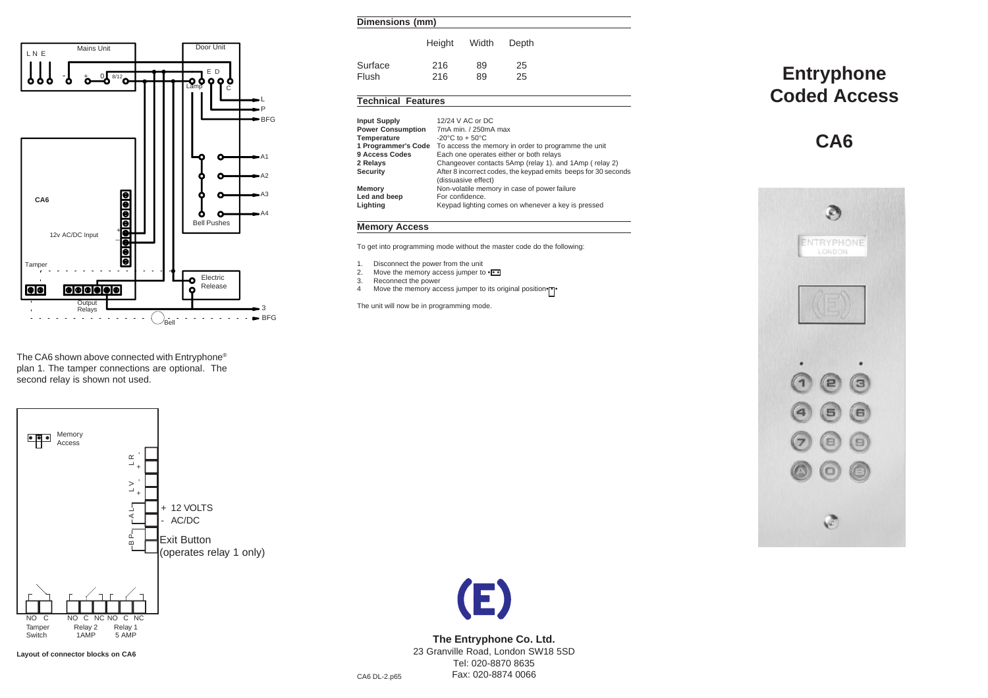



The CA6 shown above connected with Entryphone® plan 1. The tamper connections are optional. The second relay is shown not used.



**Layout of connector blocks on CA6**

# Height Width Depth Surface 216 89 25 Flush 216 89 25

# **Technical Features**

| <b>Input Supply</b>      | 12/24 V AC or DC                                                                      |  |  |
|--------------------------|---------------------------------------------------------------------------------------|--|--|
| <b>Power Consumption</b> | 7mA min. / 250mA max                                                                  |  |  |
| Temperature              | $-20^{\circ}$ C to $+50^{\circ}$ C                                                    |  |  |
| 1 Programmer's Code      | To access the memory in order to programme the unit                                   |  |  |
| 9 Access Codes           | Each one operates either or both relays                                               |  |  |
| 2 Relays                 | Changeover contacts 5Amp (relay 1). and 1Amp (relay 2)                                |  |  |
| <b>Security</b>          | After 8 incorrect codes, the keypad emits beeps for 30 seconds<br>(dissuasive effect) |  |  |
| Memory                   | Non-volatile memory in case of power failure                                          |  |  |
| Led and beep             | For confidence.                                                                       |  |  |
| Lighting                 | Keypad lighting comes on whenever a key is pressed                                    |  |  |
|                          |                                                                                       |  |  |

# **Memory Access**

To get into programming mode without the master code do the following:

- 1. Disconnect the power from the unit
- 2. Move the memory access jumper to  $\cdot \cdot \cdot$ <br>3. Reconnect the power
- 3. Reconnect the power<br>4 Move the memory acc
- Move the memory access jumper to its original position•<sup>17</sup>

The unit will now be in programming mode.

# **Entryphone Coded Access**

**CA6**





**The Entryphone Co. Ltd.** 23 Granville Road, London SW18 5SD Tel: 020-8870 8635 Fax: 020-8874 0066